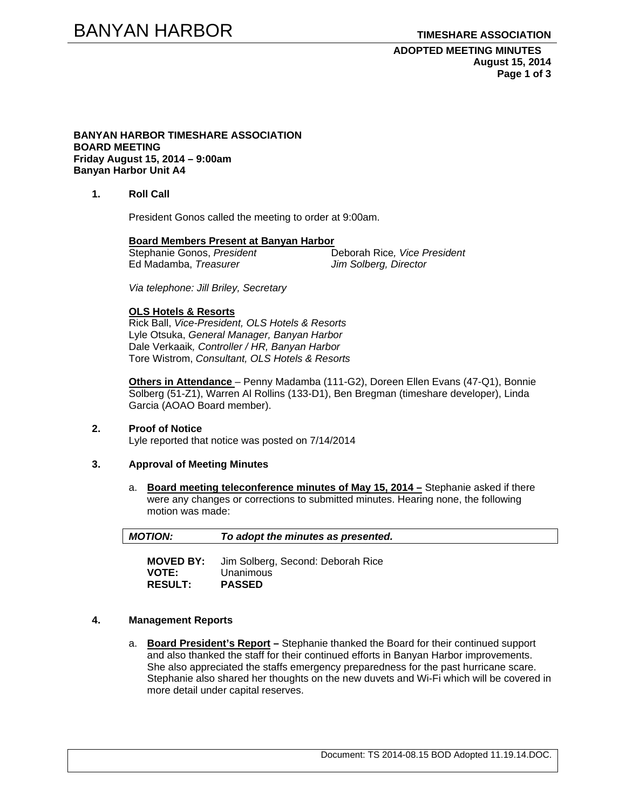**ADOPTED MEETING MINUTES August 15, 2014 Page 1 of 3** 

#### **BANYAN HARBOR TIMESHARE ASSOCIATION BOARD MEETING Friday August 15, 2014 – 9:00am Banyan Harbor Unit A4**

**1. Roll Call** 

President Gonos called the meeting to order at 9:00am.

# **Board Members Present at Banyan Harbor**

Ed Madamba, *Treasurer Jim Solberg, Director* 

Stephanie Gonos, *President* Deborah Rice*, Vice President* 

*Via telephone: Jill Briley, Secretary* 

#### **OLS Hotels & Resorts**

Rick Ball, *Vice-President, OLS Hotels & Resorts* Lyle Otsuka, *General Manager, Banyan Harbor*  Dale Verkaaik*, Controller / HR, Banyan Harbor*  Tore Wistrom, *Consultant, OLS Hotels & Resorts* 

**Others in Attendance** – Penny Madamba (111-G2), Doreen Ellen Evans (47-Q1), Bonnie Solberg (51-Z1), Warren Al Rollins (133-D1), Ben Bregman (timeshare developer), Linda Garcia (AOAO Board member).

#### **2. Proof of Notice**  Lyle reported that notice was posted on 7/14/2014

# **3. Approval of Meeting Minutes**

a. **Board meeting teleconference minutes of May 15, 2014 –** Stephanie asked if there were any changes or corrections to submitted minutes. Hearing none, the following motion was made:

| <b>MOTION:</b>                 | To adopt the minutes as presented.                                               |
|--------------------------------|----------------------------------------------------------------------------------|
| <b>VOTE:</b><br><b>RESULT:</b> | <b>MOVED BY:</b> Jim Solberg, Second: Deborah Rice<br>Unanimous<br><b>PASSED</b> |

#### **4. Management Reports**

a. **Board President's Report –** Stephanie thanked the Board for their continued support and also thanked the staff for their continued efforts in Banyan Harbor improvements. She also appreciated the staffs emergency preparedness for the past hurricane scare. Stephanie also shared her thoughts on the new duvets and Wi-Fi which will be covered in more detail under capital reserves.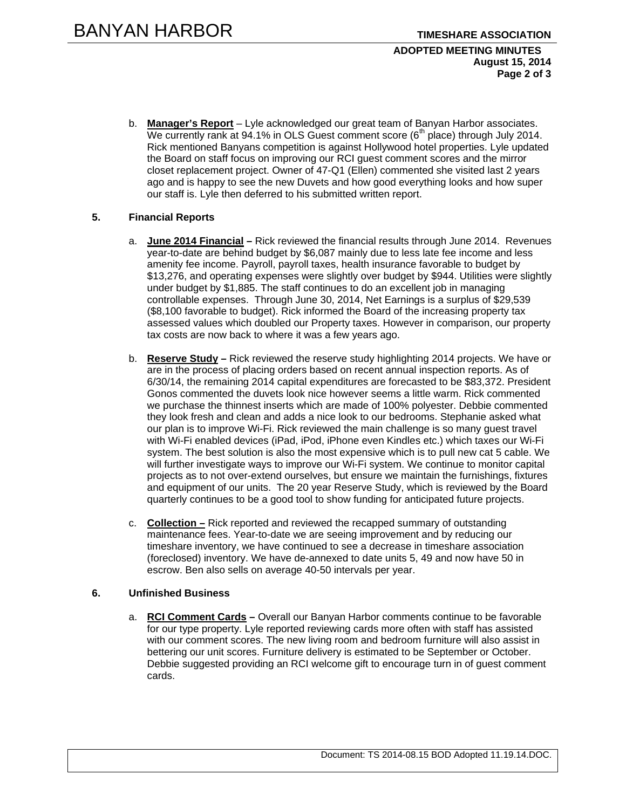#### **ADOPTED MEETING MINUTES August 15, 2014 Page 2 of 3**

b. **Manager's Report** – Lyle acknowledged our great team of Banyan Harbor associates. We currently rank at 94.1% in OLS Guest comment score ( $6<sup>th</sup>$  place) through July 2014. Rick mentioned Banyans competition is against Hollywood hotel properties. Lyle updated the Board on staff focus on improving our RCI guest comment scores and the mirror closet replacement project. Owner of 47-Q1 (Ellen) commented she visited last 2 years ago and is happy to see the new Duvets and how good everything looks and how super our staff is. Lyle then deferred to his submitted written report.

### **5. Financial Reports**

- a. **June 2014 Financial –** Rick reviewed the financial results through June 2014. Revenues year-to-date are behind budget by \$6,087 mainly due to less late fee income and less amenity fee income. Payroll, payroll taxes, health insurance favorable to budget by \$13,276, and operating expenses were slightly over budget by \$944. Utilities were slightly under budget by \$1,885. The staff continues to do an excellent job in managing controllable expenses. Through June 30, 2014, Net Earnings is a surplus of \$29,539 (\$8,100 favorable to budget). Rick informed the Board of the increasing property tax assessed values which doubled our Property taxes. However in comparison, our property tax costs are now back to where it was a few years ago.
- b. **Reserve Study –** Rick reviewed the reserve study highlighting 2014 projects. We have or are in the process of placing orders based on recent annual inspection reports. As of 6/30/14, the remaining 2014 capital expenditures are forecasted to be \$83,372. President Gonos commented the duvets look nice however seems a little warm. Rick commented we purchase the thinnest inserts which are made of 100% polyester. Debbie commented they look fresh and clean and adds a nice look to our bedrooms. Stephanie asked what our plan is to improve Wi-Fi. Rick reviewed the main challenge is so many guest travel with Wi-Fi enabled devices (iPad, iPod, iPhone even Kindles etc.) which taxes our Wi-Fi system. The best solution is also the most expensive which is to pull new cat 5 cable. We will further investigate ways to improve our Wi-Fi system. We continue to monitor capital projects as to not over-extend ourselves, but ensure we maintain the furnishings, fixtures and equipment of our units. The 20 year Reserve Study, which is reviewed by the Board quarterly continues to be a good tool to show funding for anticipated future projects.
- c. **Collection –** Rick reported and reviewed the recapped summary of outstanding maintenance fees. Year-to-date we are seeing improvement and by reducing our timeshare inventory, we have continued to see a decrease in timeshare association (foreclosed) inventory. We have de-annexed to date units 5, 49 and now have 50 in escrow. Ben also sells on average 40-50 intervals per year.

## **6. Unfinished Business**

a. **RCI Comment Cards –** Overall our Banyan Harbor comments continue to be favorable for our type property. Lyle reported reviewing cards more often with staff has assisted with our comment scores. The new living room and bedroom furniture will also assist in bettering our unit scores. Furniture delivery is estimated to be September or October. Debbie suggested providing an RCI welcome gift to encourage turn in of guest comment cards.